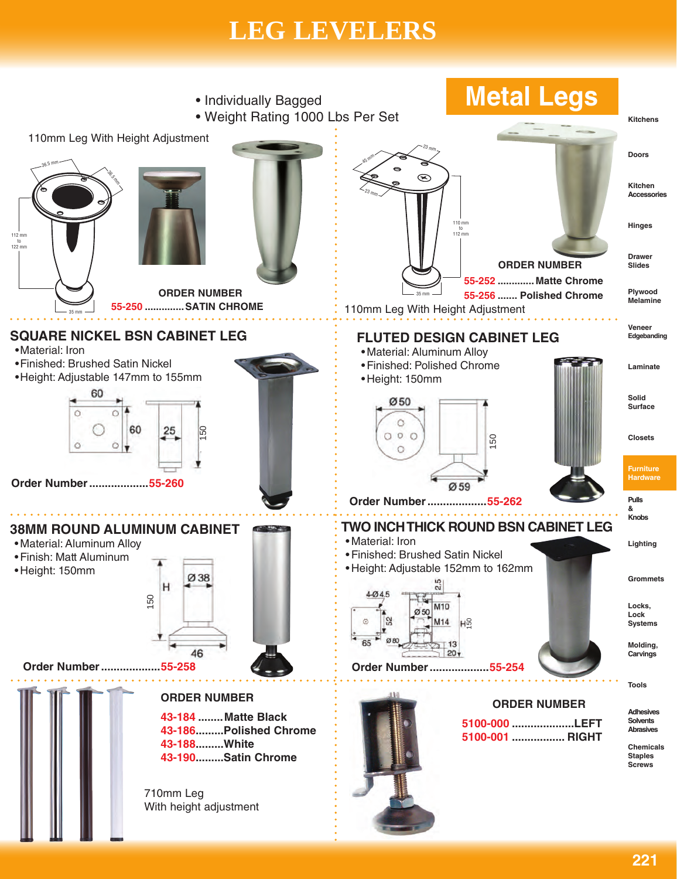## **LEG LEVELERS LEG LEVELERS**

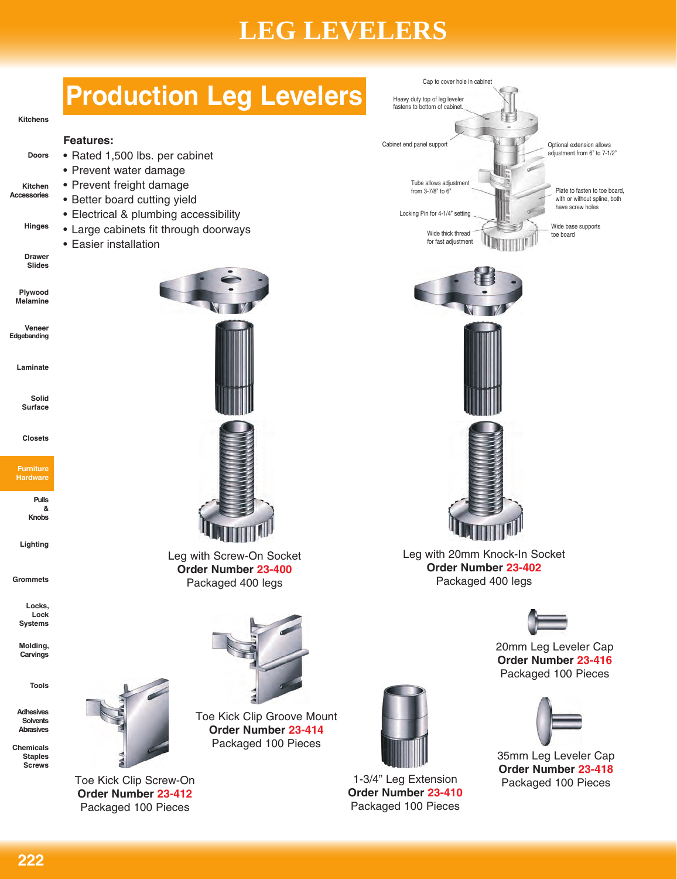## **LEG LEVELERS**

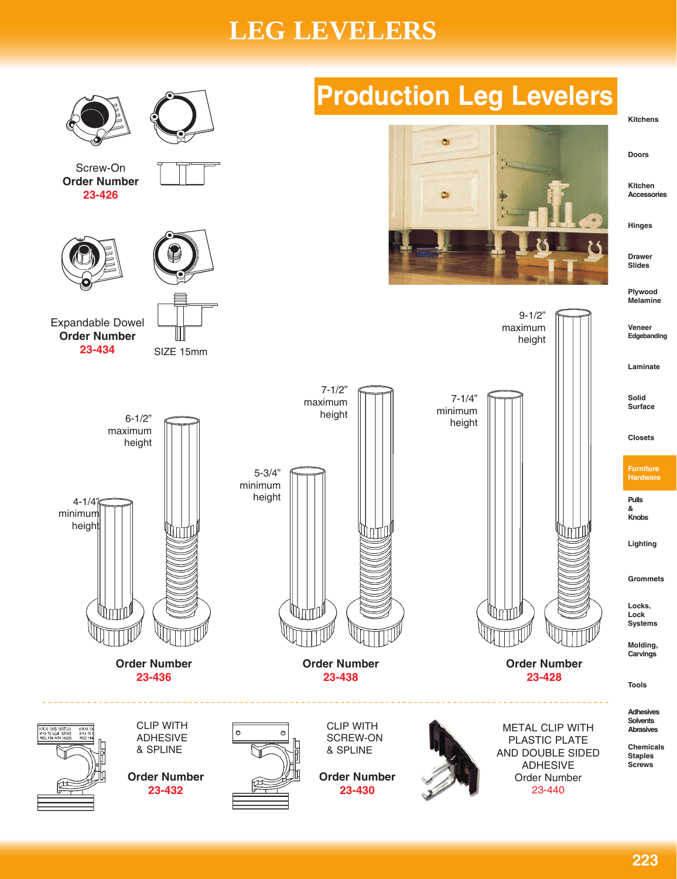## **LEG LEVELERS**